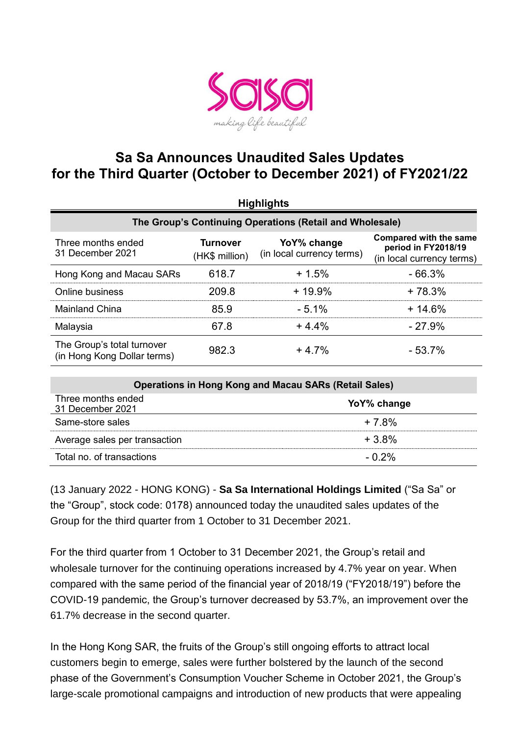

## **Sa Sa Announces Unaudited Sales Updates for the Third Quarter (October to December 2021) of FY2021/22**

| <b>Highlights</b>                                         |                                   |                                          |                                                                                   |  |  |  |
|-----------------------------------------------------------|-----------------------------------|------------------------------------------|-----------------------------------------------------------------------------------|--|--|--|
| The Group's Continuing Operations (Retail and Wholesale)  |                                   |                                          |                                                                                   |  |  |  |
| Three months ended<br>31 December 2021                    | <b>Turnover</b><br>(HK\$ million) | YoY% change<br>(in local currency terms) | <b>Compared with the same</b><br>period in FY2018/19<br>(in local currency terms) |  |  |  |
| Hong Kong and Macau SARs                                  | 618.7                             | $+1.5%$                                  | $-66.3%$                                                                          |  |  |  |
| <b>Online business</b>                                    | 209.8                             | $+19.9%$                                 | $+78.3%$                                                                          |  |  |  |
| <b>Mainland China</b>                                     | 85.9                              | $-5.1%$                                  | $+14.6%$                                                                          |  |  |  |
| Malaysia                                                  | 67.8                              | $+4.4%$                                  | $-27.9%$                                                                          |  |  |  |
| The Group's total turnover<br>(in Hong Kong Dollar terms) | 982.3                             | $+4.7%$                                  | $-53.7%$                                                                          |  |  |  |

| <b>Operations in Hong Kong and Macau SARs (Retail Sales)</b> |             |  |  |
|--------------------------------------------------------------|-------------|--|--|
| Three months ended<br>31 December 2021                       | YoY% change |  |  |
| Same-store sales                                             | $+7.8%$     |  |  |
| Average sales per transaction                                | $+3.8\%$    |  |  |
| Total no. of transactions                                    | $-0.2\%$    |  |  |

(13 January 2022 - HONG KONG) - **Sa Sa International Holdings Limited** ("Sa Sa" or the "Group", stock code: 0178) announced today the unaudited sales updates of the Group for the third quarter from 1 October to 31 December 2021.

For the third quarter from 1 October to 31 December 2021, the Group's retail and wholesale turnover for the continuing operations increased by 4.7% year on year. When compared with the same period of the financial year of 2018/19 ("FY2018/19") before the COVID-19 pandemic, the Group's turnover decreased by 53.7%, an improvement over the 61.7% decrease in the second quarter.

In the Hong Kong SAR, the fruits of the Group's still ongoing efforts to attract local customers begin to emerge, sales were further bolstered by the launch of the second phase of the Government's Consumption Voucher Scheme in October 2021, the Group's large-scale promotional campaigns and introduction of new products that were appealing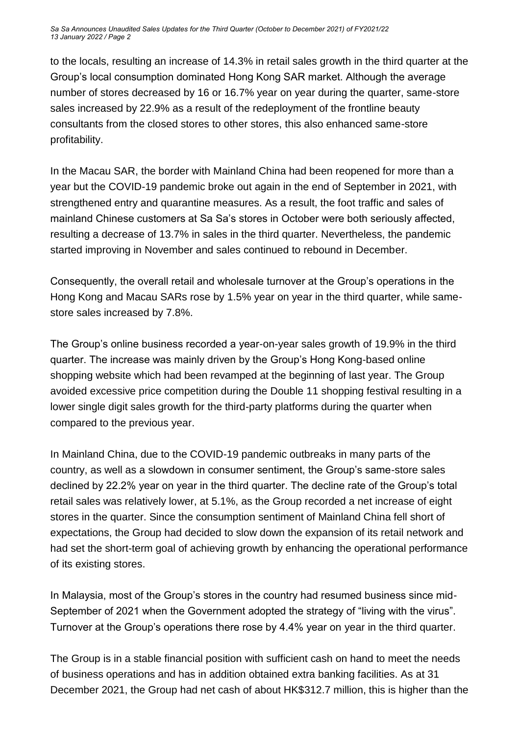*Sa Sa Announces Unaudited Sales Updates for the Third Quarter (October to December 2021) of FY2021/22 13 January 2022 / Page 2*

to the locals, resulting an increase of 14.3% in retail sales growth in the third quarter at the Group's local consumption dominated Hong Kong SAR market. Although the average number of stores decreased by 16 or 16.7% year on year during the quarter, same-store sales increased by 22.9% as a result of the redeployment of the frontline beauty consultants from the closed stores to other stores, this also enhanced same-store profitability.

In the Macau SAR, the border with Mainland China had been reopened for more than a year but the COVID-19 pandemic broke out again in the end of September in 2021, with strengthened entry and quarantine measures. As a result, the foot traffic and sales of mainland Chinese customers at Sa Sa's stores in October were both seriously affected, resulting a decrease of 13.7% in sales in the third quarter. Nevertheless, the pandemic started improving in November and sales continued to rebound in December.

Consequently, the overall retail and wholesale turnover at the Group's operations in the Hong Kong and Macau SARs rose by 1.5% year on year in the third quarter, while samestore sales increased by 7.8%.

The Group's online business recorded a year-on-year sales growth of 19.9% in the third quarter. The increase was mainly driven by the Group's Hong Kong-based online shopping website which had been revamped at the beginning of last year. The Group avoided excessive price competition during the Double 11 shopping festival resulting in a lower single digit sales growth for the third-party platforms during the quarter when compared to the previous year.

In Mainland China, due to the COVID-19 pandemic outbreaks in many parts of the country, as well as a slowdown in consumer sentiment, the Group's same-store sales declined by 22.2% year on year in the third quarter. The decline rate of the Group's total retail sales was relatively lower, at 5.1%, as the Group recorded a net increase of eight stores in the quarter. Since the consumption sentiment of Mainland China fell short of expectations, the Group had decided to slow down the expansion of its retail network and had set the short-term goal of achieving growth by enhancing the operational performance of its existing stores.

In Malaysia, most of the Group's stores in the country had resumed business since mid-September of 2021 when the Government adopted the strategy of "living with the virus". Turnover at the Group's operations there rose by 4.4% year on year in the third quarter.

The Group is in a stable financial position with sufficient cash on hand to meet the needs of business operations and has in addition obtained extra banking facilities. As at 31 December 2021, the Group had net cash of about HK\$312.7 million, this is higher than the